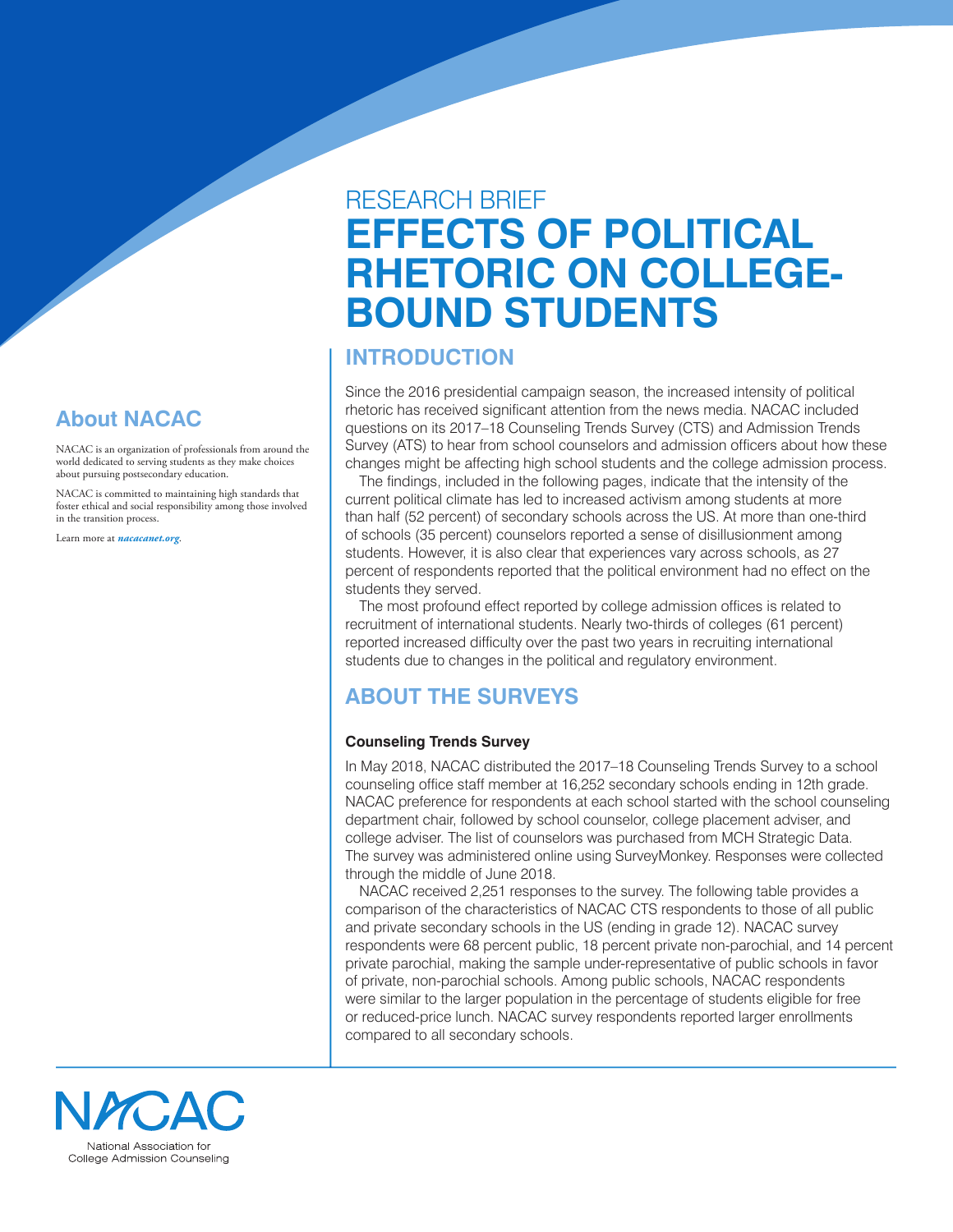### **About NACAC**

NACAC is an organization of professionals from around the world dedicated to serving students as they make choices about pursuing postsecondary education.

NACAC is committed to maintaining high standards that foster ethical and social responsibility among those involved in the transition process.

Learn more at *[nacacanet.org](https://www.nacacnet.org)*.

# RESEARCH BRIEF **EFFECTS OF POLITICAL RHETORIC ON COLLEGE-BOUND STUDENTS**

### **INTRODUCTION**

Since the 2016 presidential campaign season, the increased intensity of political rhetoric has received significant attention from the news media. NACAC included questions on its 2017–18 Counseling Trends Survey (CTS) and Admission Trends Survey (ATS) to hear from school counselors and admission officers about how these changes might be affecting high school students and the college admission process.

The findings, included in the following pages, indicate that the intensity of the current political climate has led to increased activism among students at more than half (52 percent) of secondary schools across the US. At more than one-third of schools (35 percent) counselors reported a sense of disillusionment among students. However, it is also clear that experiences vary across schools, as 27 percent of respondents reported that the political environment had no effect on the students they served.

The most profound effect reported by college admission offices is related to recruitment of international students. Nearly two-thirds of colleges (61 percent) reported increased difficulty over the past two years in recruiting international students due to changes in the political and regulatory environment.

# **ABOUT THE SURVEYS**

### **Counseling Trends Survey**

In May 2018, NACAC distributed the 2017–18 Counseling Trends Survey to a school counseling office staff member at 16,252 secondary schools ending in 12th grade. NACAC preference for respondents at each school started with the school counseling department chair, followed by school counselor, college placement adviser, and college adviser. The list of counselors was purchased from MCH Strategic Data. The survey was administered online using SurveyMonkey. Responses were collected through the middle of June 2018.

NACAC received 2,251 responses to the survey. The following table provides a comparison of the characteristics of NACAC CTS respondents to those of all public and private secondary schools in the US (ending in grade 12). NACAC survey respondents were 68 percent public, 18 percent private non-parochial, and 14 percent private parochial, making the sample under-representative of public schools in favor of private, non-parochial schools. Among public schools, NACAC respondents were similar to the larger population in the percentage of students eligible for free or reduced-price lunch. NACAC survey respondents reported larger enrollments compared to all secondary schools.

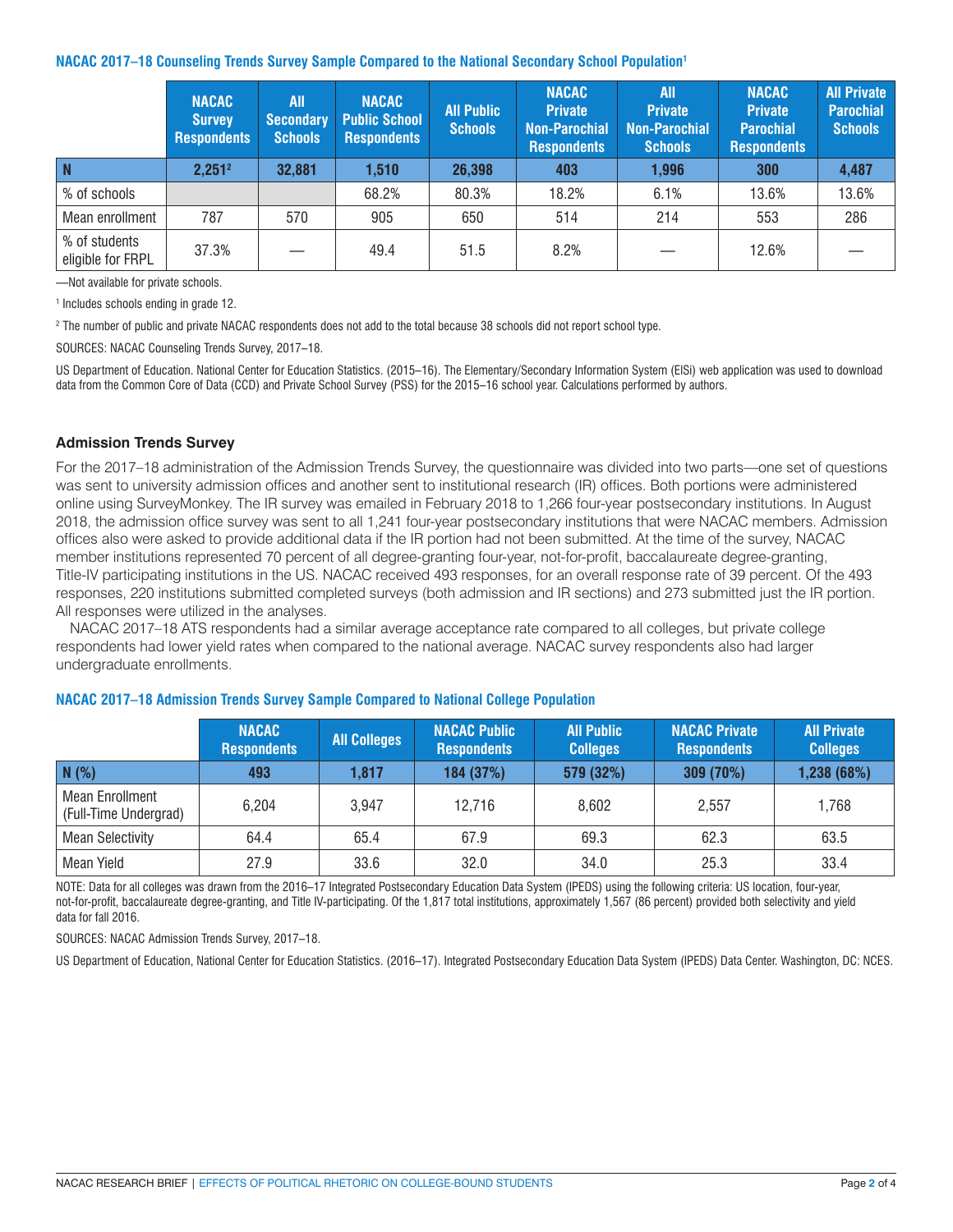### **NACAC 2017–18 Counseling Trends Survey Sample Compared to the National Secondary School Population1**

|                                    | <b>NACAC</b><br><b>Survey</b><br><b>Respondents</b> | All<br><b>Secondary</b><br><b>Schools</b> | <b>NACAC</b><br><b>Public School</b><br><b>Respondents</b> | <b>All Public</b><br><b>Schools</b> | <b>NACAC</b><br><b>Private</b><br><b>Non-Parochial</b><br><b>Respondents</b> | <b>All</b><br><b>Private</b><br><b>Non-Parochial</b><br><b>Schools</b> | <b>NACAC</b><br><b>Private</b><br><b>Parochial</b><br><b>Respondents</b> | <b>All Private</b><br><b>Parochial</b><br><b>Schools</b> |
|------------------------------------|-----------------------------------------------------|-------------------------------------------|------------------------------------------------------------|-------------------------------------|------------------------------------------------------------------------------|------------------------------------------------------------------------|--------------------------------------------------------------------------|----------------------------------------------------------|
| <b>N</b>                           | $2,251^2$                                           | 32,881                                    | 1,510                                                      | 26,398                              | 403                                                                          | 1,996                                                                  | 300                                                                      | 4,487                                                    |
| % of schools                       |                                                     |                                           | 68.2%                                                      | 80.3%                               | 18.2%                                                                        | 6.1%                                                                   | 13.6%                                                                    | 13.6%                                                    |
| Mean enrollment                    | 787                                                 | 570                                       | 905                                                        | 650                                 | 514                                                                          | 214                                                                    | 553                                                                      | 286                                                      |
| % of students<br>eligible for FRPL | 37.3%                                               |                                           | 49.4                                                       | 51.5                                | 8.2%                                                                         |                                                                        | 12.6%                                                                    |                                                          |

—Not available for private schools.

1 Includes schools ending in grade 12.

2 The number of public and private NACAC respondents does not add to the total because 38 schools did not report school type.

SOURCES: NACAC Counseling Trends Survey, 2017–18.

US Department of Education. National Center for Education Statistics. (2015–16). The Elementary/Secondary Information System (ElSi) web application was used to download data from the Common Core of Data (CCD) and Private School Survey (PSS) for the 2015–16 school year. Calculations performed by authors.

### **Admission Trends Survey**

For the 2017–18 administration of the Admission Trends Survey, the questionnaire was divided into two parts—one set of questions was sent to university admission offices and another sent to institutional research (IR) offices. Both portions were administered online using SurveyMonkey. The IR survey was emailed in February 2018 to 1,266 four-year postsecondary institutions. In August 2018, the admission office survey was sent to all 1,241 four-year postsecondary institutions that were NACAC members. Admission offices also were asked to provide additional data if the IR portion had not been submitted. At the time of the survey, NACAC member institutions represented 70 percent of all degree-granting four-year, not-for-profit, baccalaureate degree-granting, Title-IV participating institutions in the US. NACAC received 493 responses, for an overall response rate of 39 percent. Of the 493 responses, 220 institutions submitted completed surveys (both admission and IR sections) and 273 submitted just the IR portion. All responses were utilized in the analyses.

NACAC 2017–18 ATS respondents had a similar average acceptance rate compared to all colleges, but private college respondents had lower yield rates when compared to the national average. NACAC survey respondents also had larger undergraduate enrollments.

|                                                 | <b>NACAC</b><br><b>Respondents</b> | <b>All Colleges</b> | <b>NACAC Public</b><br><b>Respondents</b> | <b>All Public</b><br><b>Colleges</b> | <b>NACAC Private</b><br><b>Respondents</b> | <b>All Private</b><br><b>Colleges</b> |
|-------------------------------------------------|------------------------------------|---------------------|-------------------------------------------|--------------------------------------|--------------------------------------------|---------------------------------------|
| N(%)                                            | 493                                | 1,817               | 184 (37%)                                 | 579 (32%)                            | 309 (70%)                                  | 1,238 (68%)                           |
| <b>Mean Enrollment</b><br>(Full-Time Undergrad) | 6,204                              | 3,947               | 12,716                                    | 8,602                                | 2,557                                      | 1,768                                 |
| <b>Mean Selectivity</b>                         | 64.4                               | 65.4                | 67.9                                      | 69.3                                 | 62.3                                       | 63.5                                  |
| <b>Mean Yield</b>                               | 27.9                               | 33.6                | 32.0                                      | 34.0                                 | 25.3                                       | 33.4                                  |

#### **NACAC 2017–18 Admission Trends Survey Sample Compared to National College Population**

NOTE: Data for all colleges was drawn from the 2016–17 Integrated Postsecondary Education Data System (IPEDS) using the following criteria: US location, four-year, not-for-profit, baccalaureate degree-granting, and Title IV-participating. Of the 1,817 total institutions, approximately 1,567 (86 percent) provided both selectivity and yield data for fall 2016.

SOURCES: NACAC Admission Trends Survey, 2017–18.

US Department of Education, National Center for Education Statistics. (2016–17). Integrated Postsecondary Education Data System (IPEDS) Data Center. Washington, DC: NCES.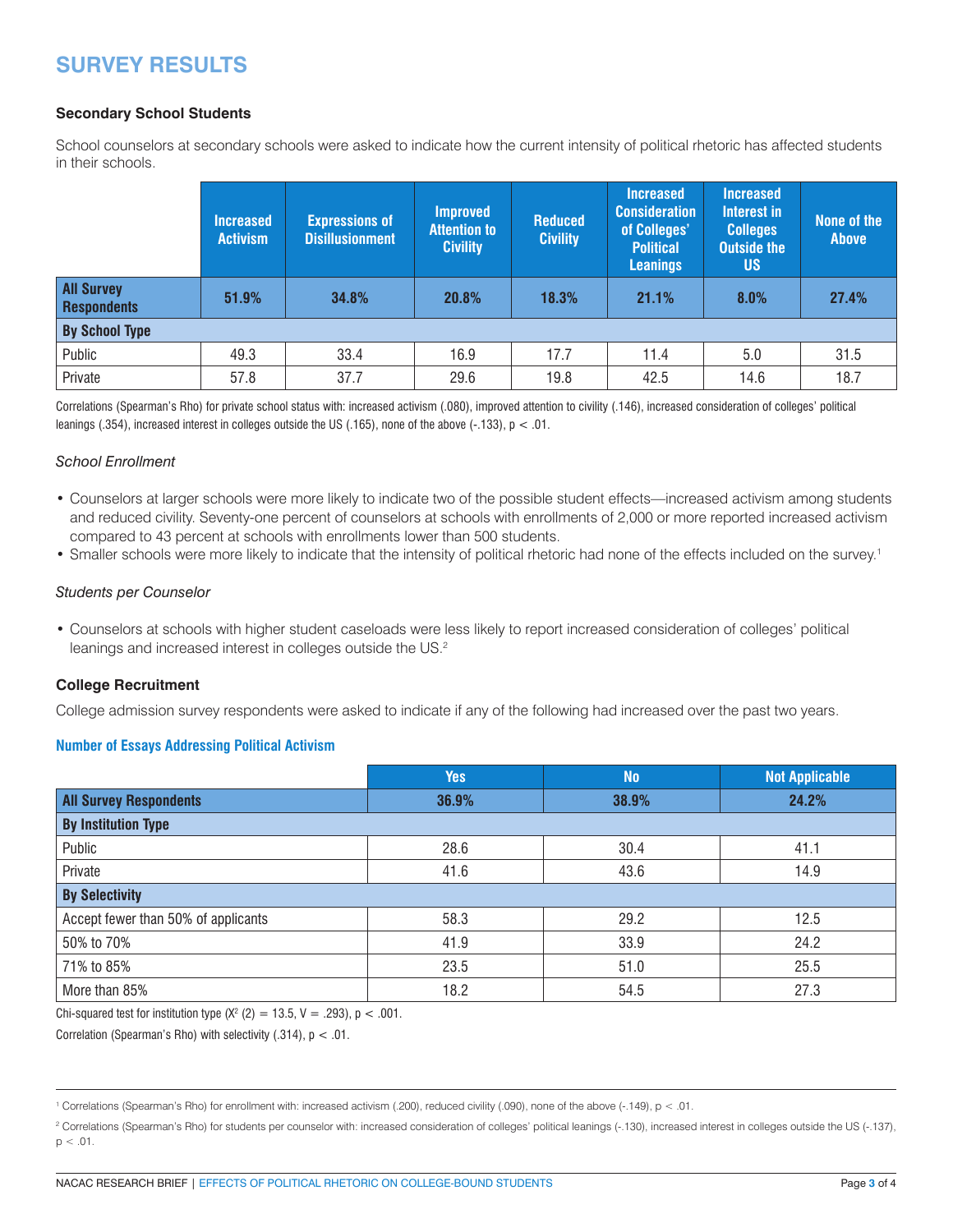## **SURVEY RESULTS**

### **Secondary School Students**

School counselors at secondary schools were asked to indicate how the current intensity of political rhetoric has affected students in their schools.

|                                         | <b>Increased</b><br><b>Activism</b> | <b>Expressions of</b><br><b>Disillusionment</b> | <b>Improved</b><br><b>Attention to</b><br><b>Civility</b> | <b>Reduced</b><br><b>Civility</b> | <b>Increased</b><br><b>Consideration</b><br>of Colleges'<br><b>Political</b><br><b>Leanings</b> | <b>Increased</b><br>Interest in<br><b>Colleges</b><br><b>Outside the</b><br><b>US</b> | None of the<br><b>Above</b> |
|-----------------------------------------|-------------------------------------|-------------------------------------------------|-----------------------------------------------------------|-----------------------------------|-------------------------------------------------------------------------------------------------|---------------------------------------------------------------------------------------|-----------------------------|
| <b>All Survey</b><br><b>Respondents</b> | 51.9%                               | 34.8%                                           | 20.8%                                                     | 18.3%                             | 21.1%                                                                                           | 8.0%                                                                                  | 27.4%                       |
| <b>By School Type</b>                   |                                     |                                                 |                                                           |                                   |                                                                                                 |                                                                                       |                             |
| Public                                  | 49.3                                | 33.4                                            | 16.9                                                      | 17.7                              | 11.4                                                                                            | 5.0                                                                                   | 31.5                        |
| Private                                 | 57.8                                | 37.7                                            | 29.6                                                      | 19.8                              | 42.5                                                                                            | 14.6                                                                                  | 18.7                        |

Correlations (Spearman's Rho) for private school status with: increased activism (.080), improved attention to civility (.146), increased consideration of colleges' political leanings (.354), increased interest in colleges outside the US (.165), none of the above (-.133), p < .01.

#### *School Enrollment*

- Counselors at larger schools were more likely to indicate two of the possible student effects—increased activism among students and reduced civility. Seventy-one percent of counselors at schools with enrollments of 2,000 or more reported increased activism compared to 43 percent at schools with enrollments lower than 500 students.
- Smaller schools were more likely to indicate that the intensity of political rhetoric had none of the effects included on the survey. 1

#### *Students per Counselor*

• Counselors at schools with higher student caseloads were less likely to report increased consideration of colleges' political leanings and increased interest in colleges outside the US.<sup>2</sup>

### **College Recruitment**

College admission survey respondents were asked to indicate if any of the following had increased over the past two years.

### **Number of Essays Addressing Political Activism**

|                                     | <b>Yes</b> | <b>No</b> | <b>Not Applicable</b> |
|-------------------------------------|------------|-----------|-----------------------|
| <b>All Survey Respondents</b>       | 36.9%      | 38.9%     | 24.2%                 |
| <b>By Institution Type</b>          |            |           |                       |
| Public                              | 28.6       | 30.4      | 41.1                  |
| Private                             | 41.6       | 43.6      | 14.9                  |
| <b>By Selectivity</b>               |            |           |                       |
| Accept fewer than 50% of applicants | 58.3       | 29.2      | 12.5                  |
| 50% to 70%                          | 41.9       | 33.9      | 24.2                  |
| 71% to 85%                          | 23.5       | 51.0      | 25.5                  |
| More than 85%                       | 18.2       | 54.5      | 27.3                  |

Chi-squared test for institution type  $(X^2 (2) = 13.5, V = .293)$ , p < .001.

Correlation (Spearman's Rho) with selectivity  $(.314)$ ,  $p < .01$ .

1 Correlations (Spearman's Rho) for enrollment with: increased activism (.200), reduced civility (.090), none of the above (-.149), p < .01.

<sup>2</sup> Correlations (Spearman's Rho) for students per counselor with: increased consideration of colleges' political leanings (-.130), increased interest in colleges outside the US (-.137),  $p < .01$ .